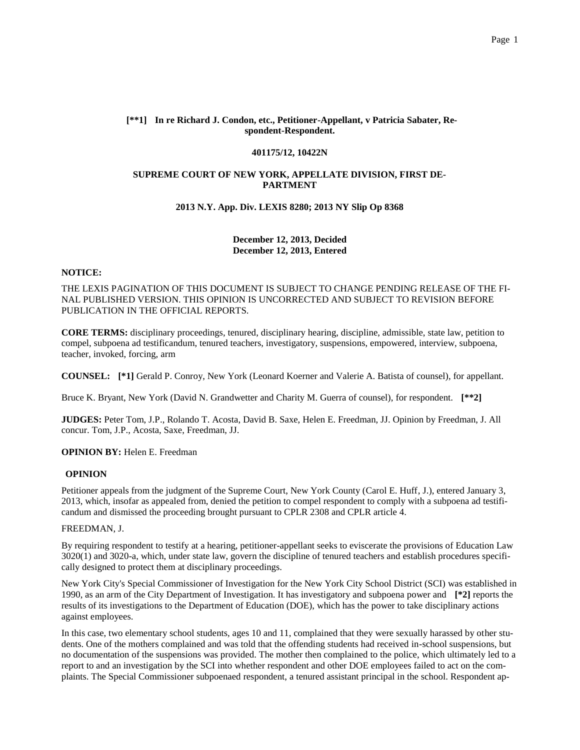## **[\*\*1] In re Richard J. Condon, etc., Petitioner-Appellant, v Patricia Sabater, Respondent-Respondent.**

#### **401175/12, 10422N**

# **SUPREME COURT OF NEW YORK, APPELLATE DIVISION, FIRST DE-PARTMENT**

### **2013 N.Y. App. Div. LEXIS 8280; 2013 NY Slip Op 8368**

# **December 12, 2013, Decided December 12, 2013, Entered**

#### **NOTICE:**

THE LEXIS PAGINATION OF THIS DOCUMENT IS SUBJECT TO CHANGE PENDING RELEASE OF THE FI-NAL PUBLISHED VERSION. THIS OPINION IS UNCORRECTED AND SUBJECT TO REVISION BEFORE PUBLICATION IN THE OFFICIAL REPORTS.

**CORE TERMS:** disciplinary proceedings, tenured, disciplinary hearing, discipline, admissible, state law, petition to compel, subpoena ad testificandum, tenured teachers, investigatory, suspensions, empowered, interview, subpoena, teacher, invoked, forcing, arm

**COUNSEL: [\*1]** Gerald P. Conroy, New York (Leonard Koerner and Valerie A. Batista of counsel), for appellant.

Bruce K. Bryant, New York (David N. Grandwetter and Charity M. Guerra of counsel), for respondent. **[\*\*2]**

**JUDGES:** Peter Tom, J.P., Rolando T. Acosta, David B. Saxe, Helen E. Freedman, JJ. Opinion by Freedman, J. All concur. Tom, J.P., Acosta, Saxe, Freedman, JJ.

# **OPINION BY: Helen E. Freedman**

### **OPINION**

Petitioner appeals from the judgment of the Supreme Court, New York County (Carol E. Huff, J.), entered January 3, 2013, which, insofar as appealed from, denied the petition to compel respondent to comply with a subpoena ad testificandum and dismissed the proceeding brought pursuant to CPLR 2308 and CPLR article 4.

#### FREEDMAN, J.

By requiring respondent to testify at a hearing, petitioner-appellant seeks to eviscerate the provisions of Education Law 3020(1) and 3020-a, which, under state law, govern the discipline of tenured teachers and establish procedures specifically designed to protect them at disciplinary proceedings.

New York City's Special Commissioner of Investigation for the New York City School District (SCI) was established in 1990, as an arm of the City Department of Investigation. It has investigatory and subpoena power and **[\*2]** reports the results of its investigations to the Department of Education (DOE), which has the power to take disciplinary actions against employees.

In this case, two elementary school students, ages 10 and 11, complained that they were sexually harassed by other students. One of the mothers complained and was told that the offending students had received in-school suspensions, but no documentation of the suspensions was provided. The mother then complained to the police, which ultimately led to a report to and an investigation by the SCI into whether respondent and other DOE employees failed to act on the complaints. The Special Commissioner subpoenaed respondent, a tenured assistant principal in the school. Respondent ap